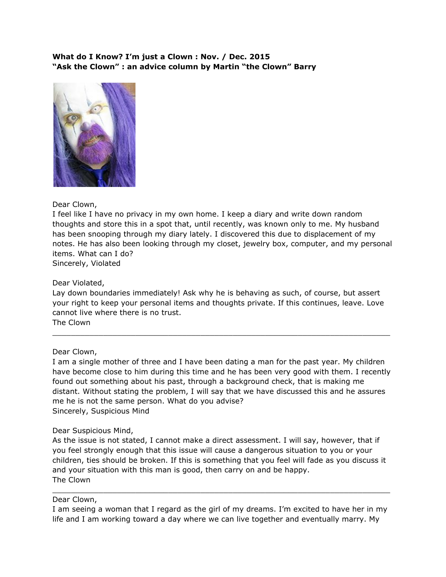### **What do I Know? I'm just a Clown : Nov. / Dec. 2015 "Ask the Clown" : an advice column by Martin "the Clown" Barry**



# Dear Clown,

I feel like I have no privacy in my own home. I keep a diary and write down random thoughts and store this in a spot that, until recently, was known only to me. My husband has been snooping through my diary lately. I discovered this due to displacement of my notes. He has also been looking through my closet, jewelry box, computer, and my personal items. What can I do?

Sincerely, Violated

# Dear Violated,

Lay down boundaries immediately! Ask why he is behaving as such, of course, but assert your right to keep your personal items and thoughts private. If this continues, leave. Love cannot live where there is no trust. The Clown

 $\_$  , and the set of the set of the set of the set of the set of the set of the set of the set of the set of the set of the set of the set of the set of the set of the set of the set of the set of the set of the set of th

#### Dear Clown,

I am a single mother of three and I have been dating a man for the past year. My children have become close to him during this time and he has been very good with them. I recently found out something about his past, through a background check, that is making me distant. Without stating the problem, I will say that we have discussed this and he assures me he is not the same person. What do you advise? Sincerely, Suspicious Mind

#### Dear Suspicious Mind,

As the issue is not stated, I cannot make a direct assessment. I will say, however, that if you feel strongly enough that this issue will cause a dangerous situation to you or your children, ties should be broken. If this is something that you feel will fade as you discuss it and your situation with this man is good, then carry on and be happy. The Clown

#### Dear Clown,

I am seeing a woman that I regard as the girl of my dreams. I'm excited to have her in my life and I am working toward a day where we can live together and eventually marry. My

 $\_$  , and the set of the set of the set of the set of the set of the set of the set of the set of the set of the set of the set of the set of the set of the set of the set of the set of the set of the set of the set of th